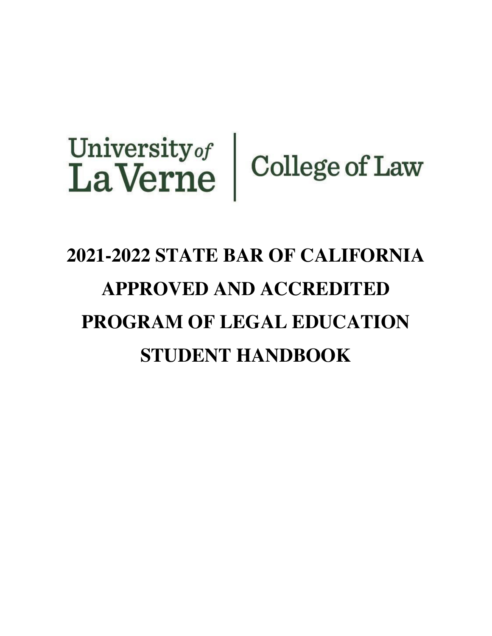# University of College of Law

# **2021-2022 STATE BAR OF CALIFORNIA APPROVED AND ACCREDITED PROGRAM OF LEGAL EDUCATION STUDENT HANDBOOK**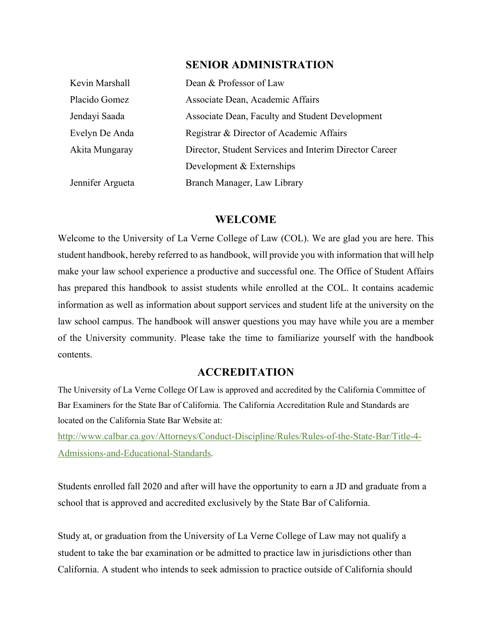# **SENIOR ADMINISTRATION**

| Kevin Marshall   | Dean & Professor of Law                                |  |
|------------------|--------------------------------------------------------|--|
| Placido Gomez    | Associate Dean, Academic Affairs                       |  |
| Jendayi Saada    | Associate Dean, Faculty and Student Development        |  |
| Evelyn De Anda   | Registrar & Director of Academic Affairs               |  |
| Akita Mungaray   | Director, Student Services and Interim Director Career |  |
|                  | Development & Externships                              |  |
| Jennifer Argueta | Branch Manager, Law Library                            |  |

#### **WELCOME**

Welcome to the University of La Verne College of Law (COL). We are glad you are here. This student handbook, hereby referred to as handbook, will provide you with information that will help make your law school experience a productive and successful one. The Office of Student Affairs has prepared this handbook to assist students while enrolled at the COL. It contains academic information as well as information about support services and student life at the university on the law school campus. The handbook will answer questions you may have while you are a member of the University community. Please take the time to familiarize yourself with the handbook contents.

# **ACCREDITATION**

The University of La Verne College Of Law is approved and accredited by the California Committee of Bar Examiners for the State Bar of California. The California Accreditation Rule and Standards are located on the California State Bar Website at:

[http://www.calbar.ca.gov/Attorneys/Conduct-Discipline/Rules/Rules-of-the-State-Bar/Title-4](http://www.calbar.ca.gov/Attorneys/Conduct-Discipline/Rules/Rules-of-the-State-Bar/Title-4-Admissions-and-Educational-Standards)- [Admissions-and-Educational-Standards](http://www.calbar.ca.gov/Attorneys/Conduct-Discipline/Rules/Rules-of-the-State-Bar/Title-4-Admissions-and-Educational-Standards).

Students enrolled fall 2020 and after will have the opportunity to earn a JD and graduate from a school that is approved and accredited exclusively by the State Bar of California.

Study at, or graduation from the University of La Verne College of Law may not qualify a student to take the bar examination or be admitted to practice law in jurisdictions other than California. A student who intends to seek admission to practice outside of California should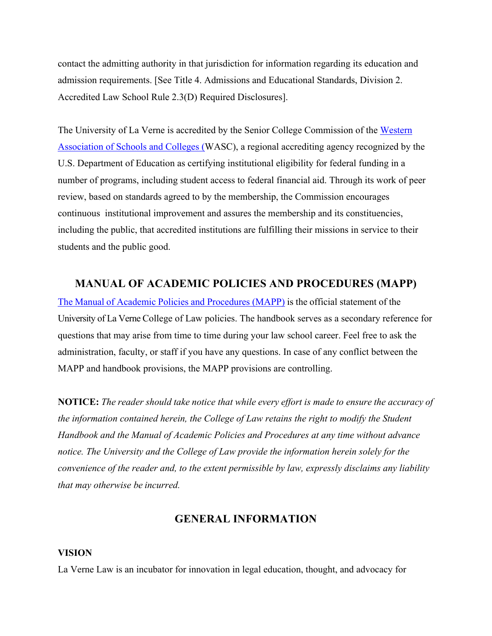contact the admitting authority in that jurisdiction for information regarding its education and admission requirements. [See Title 4. Admissions and Educational Standards, Division 2. Accredited Law School Rule 2.3(D) Required Disclosures].

The University of La Verne is accredited by the Senior College Commission of the [Western](https://www.wscuc.org/) [Association of Schools and Colleges](https://www.wscuc.org/) (WASC), a regional accrediting agency recognized by the U.S. Department of Education as certifying institutional eligibility for federal funding in a number of programs, including student access to federal financial aid. Through its work of peer review, based on standards agreed to by the membership, the Commission encourages continuous institutional improvement and assures the membership and its constituencies, including the public, that accredited institutions are fulfilling their missions in service to their students and the public good.

# **MANUAL OF ACADEMIC POLICIES AND PROCEDURES (MAPP)**

The Manual of Academic Policies and [Procedures](https://law.laverne.edu/students/wp-content/uploads/sites/15/2020/08/Manual-for-Academic-Policies-and-Procedures%E2%80%94California-Approved-and-Accredited-Law-Program.pdf) (MAPP) is the official statement of the University of La Verne College of Law policies. The handbook serves as a secondary reference for questions that may arise from time to time during your law school career. Feel free to ask the administration, faculty, or staff if you have any questions. In case of any conflict between the MAPP and handbook provisions, the MAPP provisions are controlling.

**NOTICE:** *The reader should take notice that while every effort is made to ensure the accuracy of the information contained herein, the College of Law retains the right to modify the Student Handbook and the Manual of Academic Policies and Procedures at any time without advance notice. The University and the College of Law provide the information herein solely for the convenience of the reader and, to the extent permissible by law, expressly disclaims any liability that may otherwise be incurred.*

# **GENERAL INFORMATION**

#### **VISION**

La Verne Law is an incubator for innovation in legal education, thought, and advocacy for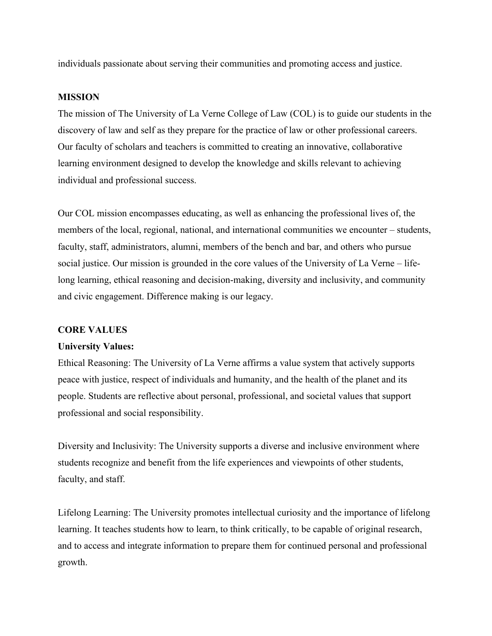individuals passionate about serving their communities and promoting access and justice.

#### **MISSION**

The mission of The University of La Verne College of Law (COL) is to guide our students in the discovery of law and self as they prepare for the practice of law or other professional careers. Our faculty of scholars and teachers is committed to creating an innovative, collaborative learning environment designed to develop the knowledge and skills relevant to achieving individual and professional success.

Our COL mission encompasses educating, as well as enhancing the professional lives of, the members of the local, regional, national, and international communities we encounter – students, faculty, staff, administrators, alumni, members of the bench and bar, and others who pursue social justice. Our mission is grounded in the core values of the University of La Verne – lifelong learning, ethical reasoning and decision-making, diversity and inclusivity, and community and civic engagement. Difference making is our legacy.

#### **CORE VALUES**

#### **University Values:**

Ethical Reasoning: The University of La Verne affirms a value system that actively supports peace with justice, respect of individuals and humanity, and the health of the planet and its people. Students are reflective about personal, professional, and societal values that support professional and social responsibility.

Diversity and Inclusivity: The University supports a diverse and inclusive environment where students recognize and benefit from the life experiences and viewpoints of other students, faculty, and staff.

Lifelong Learning: The University promotes intellectual curiosity and the importance of lifelong learning. It teaches students how to learn, to think critically, to be capable of original research, and to access and integrate information to prepare them for continued personal and professional growth.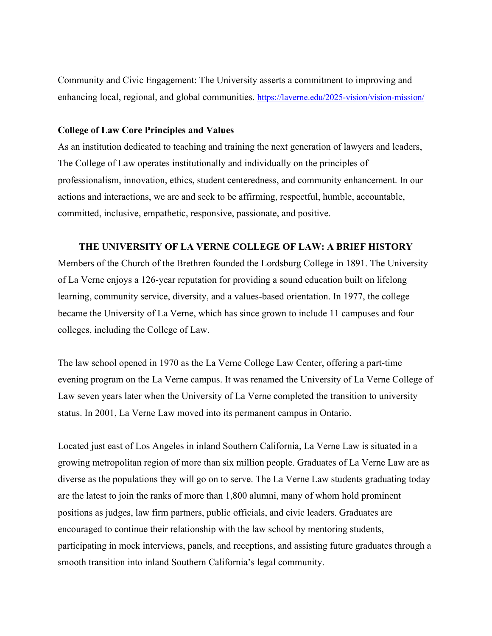Community and Civic Engagement: The University asserts a commitment to improving and enhancing local, regional, and global communities. <https://laverne.edu/2025-vision/vision-mission/>

#### **College of Law Core Principles and Values**

As an institution dedicated to teaching and training the next generation of lawyers and leaders, The College of Law operates institutionally and individually on the principles of professionalism, innovation, ethics, student centeredness, and community enhancement. In our actions and interactions, we are and seek to be affirming, respectful, humble, accountable, committed, inclusive, empathetic, responsive, passionate, and positive.

#### **THE UNIVERSITY OF LA VERNE COLLEGE OF LAW: A BRIEF HISTORY**

Members of the Church of the Brethren founded the Lordsburg College in 1891. The University of La Verne enjoys a 126-year reputation for providing a sound education built on lifelong learning, community service, diversity, and a values-based orientation. In 1977, the college became the University of La Verne, which has since grown to include 11 campuses and four colleges, including the College of Law.

The law school opened in 1970 as the La Verne College Law Center, offering a part-time evening program on the La Verne campus. It was renamed the University of La Verne College of Law seven years later when the University of La Verne completed the transition to university status. In 2001, La Verne Law moved into its permanent campus in Ontario.

Located just east of Los Angeles in inland Southern California, La Verne Law is situated in a growing metropolitan region of more than six million people. Graduates of La Verne Law are as diverse as the populations they will go on to serve. The La Verne Law students graduating today are the latest to join the ranks of more than 1,800 alumni, many of whom hold prominent positions as judges, law firm partners, public officials, and civic leaders. Graduates are encouraged to continue their relationship with the law school by mentoring students, participating in mock interviews, panels, and receptions, and assisting future graduates through a smooth transition into inland Southern California's legal community.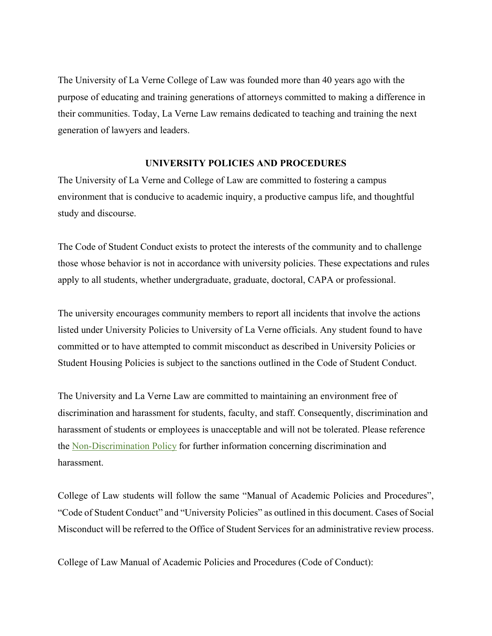The University of La Verne College of Law was founded more than 40 years ago with the purpose of educating and training generations of attorneys committed to making a difference in their communities. Today, La Verne Law remains dedicated to teaching and training the next generation of lawyers and leaders.

#### **UNIVERSITY POLICIES AND PROCEDURES**

The University of La Verne and College of Law are committed to fostering a campus environment that is conducive to academic inquiry, a productive campus life, and thoughtful study and discourse.

The [Code of Student Conduct](https://laverne.edu/student-affairs/student-conduct/) exists to protect the interests of the community and to challenge those whose behavior is not in accordance with university policies. These expectations and rules apply to all students, whether undergraduate, graduate, doctoral, CAPA or professional.

The university encourages community members to report all incidents that involve the actions listed under University Policies to University of La Verne officials. Any student found to have committed or to have attempted to commit misconduct as described in University Policies or Student Housing Policies is subject to the sanctions outlined in the Code of Student Conduct.

The University and La Verne Law are committed to maintaining an environment free of discrimination and harassment for students, faculty, and staff. Consequently, discrimination and harassment of students or employees is unacceptable and will not be tolerated. Please reference the [Non-Discrimination Policy](https://law.laverne.edu/discrimination/) for further information concerning discrimination and harassment.

College of Law students will follow the same "Manual of Academic Policies and Procedures", "Code of Student Conduct" and "University Policies" as outlined in this document. Cases of Social Misconduct will be referred to the Office of Student Services for an administrative review process.

College of Law Manual of Academic Policies and Procedures (Code of Conduct):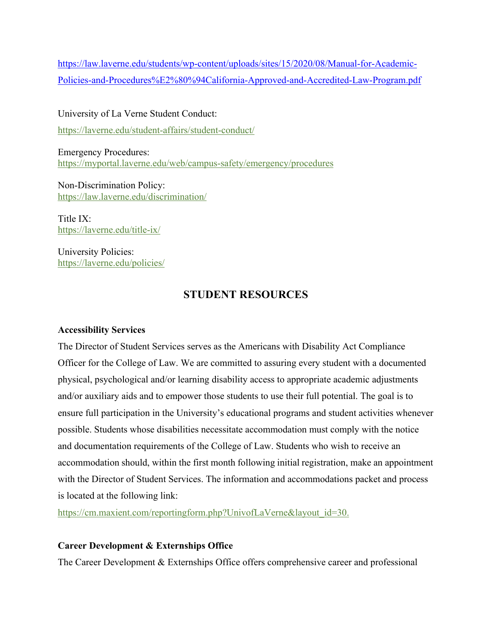[https://law.laverne.edu/students/wp-content/uploads/sites/15/2020/08/Manual-for-Academic](https://law.laverne.edu/students/wp-content/uploads/sites/15/2020/08/Manual-for-Academic-Policies-and-Procedures%E2%80%94California-Approved-and-Accredited-Law-Program.pdf)-[Policies-and-Procedures%E2%80%94California-Approved-and-Accredited-Law-Program.pdf](https://law.laverne.edu/students/wp-content/uploads/sites/15/2020/08/Manual-for-Academic-Policies-and-Procedures%E2%80%94California-Approved-and-Accredited-Law-Program.pdf)

University of La Verne Student Conduct: <https://laverne.edu/student-affairs/student-conduct/>

Emergency Procedures: <https://myportal.laverne.edu/web/campus-safety/emergency/procedures>

Non-Discrimination Policy: <https://law.laverne.edu/discrimination/>

Title IX: <https://laverne.edu/title-ix/>

University Policies: <https://laverne.edu/policies/>

# **STUDENT RESOURCES**

# **Accessibility Services**

The Director of Student Services serves as the Americans with Disability Act Compliance Officer for the College of Law. We are committed to assuring every student with a documented physical, psychological and/or learning disability access to appropriate academic adjustments and/or auxiliary aids and to empower those students to use their full potential. The goal is to ensure full participation in the University's educational programs and student activities whenever possible. Students whose disabilities necessitate accommodation must comply with the notice and documentation requirements of the College of Law. Students who wish to receive an accommodation should, within the first month following initial registration, make an appointment with the Director of Student Services. The information and accommodations packet and process is located at the following link:

[https://cm.maxient.com/reportingform.php?UnivofLaVerne&layout\\_id=30.](https://cm.maxient.com/reportingform.php?UnivofLaVerne&layout_id=30)

# **Career Development & Externships Office**

The Career Development & Externships Office offers comprehensive career and professional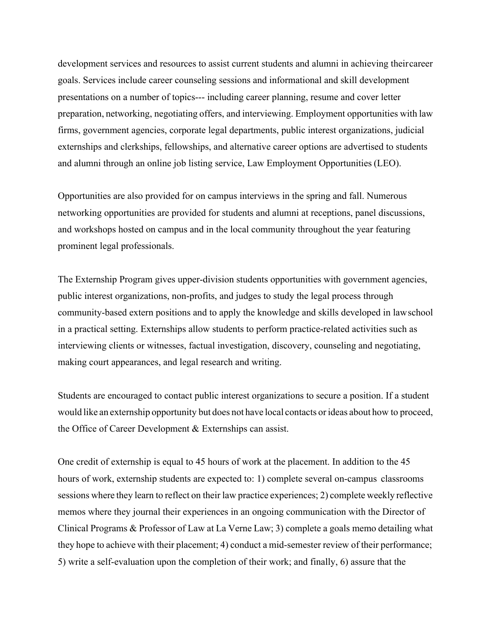development services and resources to assist current students and alumni in achieving theircareer goals. Services include career counseling sessions and informational and skill development presentations on a number of topics--- including career planning, resume and cover letter preparation, networking, negotiating offers, and interviewing. Employment opportunities with law firms, government agencies, corporate legal departments, public interest organizations, judicial externships and clerkships, fellowships, and alternative career options are advertised to students and alumni through an online job listing service, Law Employment Opportunities (LEO).

Opportunities are also provided for on campus interviews in the spring and fall. Numerous networking opportunities are provided for students and alumni at receptions, panel discussions, and workshops hosted on campus and in the local community throughout the year featuring prominent legal professionals.

The Externship Program gives upper-division students opportunities with government agencies, public interest organizations, non-profits, and judges to study the legal process through community-based extern positions and to apply the knowledge and skills developed in lawschool in a practical setting. Externships allow students to perform practice-related activities such as interviewing clients or witnesses, factual investigation, discovery, counseling and negotiating, making court appearances, and legal research and writing.

Students are encouraged to contact public interest organizations to secure a position. If a student would like an externship opportunity but does not have local contacts or ideas about how to proceed, the Office of Career Development & Externships can assist.

One credit of externship is equal to 45 hours of work at the placement. In addition to the 45 hours of work, externship students are expected to: 1) complete several on-campus classrooms sessions where they learn to reflect on their law practice experiences; 2) complete weekly reflective memos where they journal their experiences in an ongoing communication with the Director of Clinical Programs & Professor of Law at La Verne Law; 3) complete a goals memo detailing what they hope to achieve with their placement; 4) conduct a mid-semester review of their performance; 5) write a self-evaluation upon the completion of their work; and finally, 6) assure that the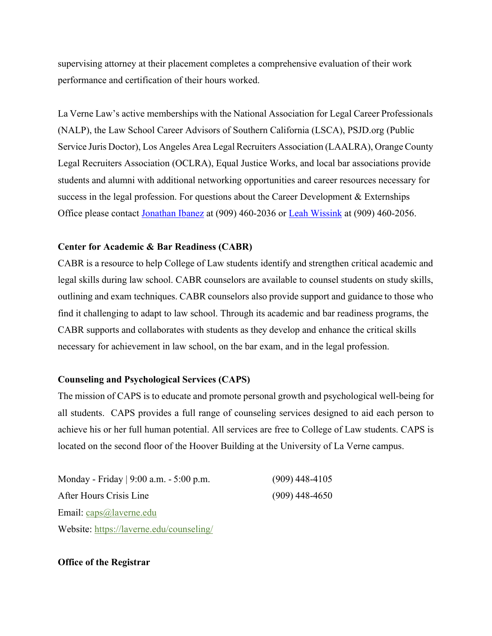supervising attorney at their placement completes a comprehensive evaluation of their work performance and certification of their hours worked.

La Verne Law's active memberships with the National Association for Legal Career Professionals (NALP), the Law School Career Advisors of Southern California (LSCA), PSJD.org (Public Service Juris Doctor), Los Angeles Area Legal Recruiters Association (LAALRA), Orange County Legal Recruiters Association (OCLRA), Equal Justice Works, and local bar associations provide students and alumni with additional networking opportunities and career resources necessary for success in the legal profession. For questions about the Career Development & Externships Office please contact [Jonathan Ibanez](mailto:@jibanez@laverne.edu) at (909) 460-2036 or [Leah Wissink](mailto:lwissink@laverne.edu) at (909) 460-2056.

#### **Center for Academic & Bar Readiness (CABR)**

CABR is a resource to help College of Law students identify and strengthen critical academic and legal skills during law school. CABR counselors are available to counsel students on study skills, outlining and exam techniques. CABR counselors also provide support and guidance to those who find it challenging to adapt to law school. Through its academic and bar readiness programs, the CABR supports and collaborates with students as they develop and enhance the critical skills necessary for achievement in law school, on the bar exam, and in the legal profession.

# **Counseling and Psychological Services (CAPS)**

The mission of CAPS is to educate and promote personal growth and psychological well-being for all students. CAPS provides a full range of counseling services designed to aid each person to achieve his or her full human potential. All services are free to College of Law students. CAPS is located on the second floor of the Hoover Building at the University of La Verne campus.

Monday - Friday | 9:00 a.m. - 5:00 p.m. (909) 448-4105 After Hours Crisis Line (909) 448-4650 Email: [caps@laverne.edu](http://caps@laverne.edu) Website:<https://laverne.edu/counseling/>

#### **Office of the Registrar**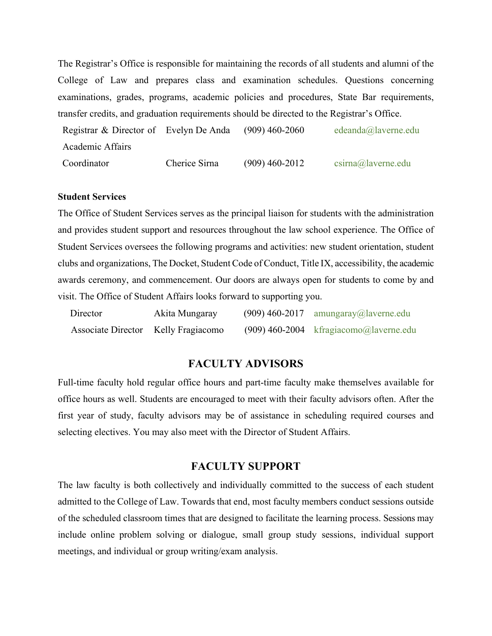The Registrar's Office is responsible for maintaining the records of all students and alumni of the College of Law and prepares class and examination schedules. Questions concerning examinations, grades, programs, academic policies and procedures, State Bar requirements, transfer credits, and graduation requirements should be directed to the Registrar's Office.

Registrar & Director of Evelyn De Anda Academic Affairs  $(909)$  460-2060 [edeanda@laverne.edu](mailto:cmurray@laverne.edu) Coordinator Cherice Sirna (909) 460-2012 [csirna@laverne.edu](mailto:csirna@laverne.edu)

#### **Student Services**

The Office of Student Services serves as the principal liaison for students with the administration and provides student support and resources throughout the law school experience. The Office of Student Services oversees the following programs and activities: new student orientation, student clubs and organizations, The Docket, Student Code of Conduct, Title IX, accessibility, the academic awards ceremony, and commencement. Our doors are always open for students to come by and visit. The Office of Student Affairs looks forward to supporting you.

| Director                            | Akita Mungaray | $(909)$ 460-2017 amungaray@laverne.edu   |
|-------------------------------------|----------------|------------------------------------------|
| Associate Director Kelly Fragiacomo |                | $(909)$ 460-2004 kfragiacomo@laverne.edu |

# **FACULTY ADVISORS**

Full-time faculty hold regular office hours and part-time faculty make themselves available for office hours as well. Students are encouraged to meet with their faculty advisors often. After the first year of study, faculty advisors may be of assistance in scheduling required courses and selecting electives. You may also meet with the Director of Student Affairs.

# **FACULTY SUPPORT**

The law faculty is both collectively and individually committed to the success of each student admitted to the College of Law. Towards that end, most faculty members conduct sessions outside of the scheduled classroom times that are designed to facilitate the learning process. Sessions may include online problem solving or dialogue, small group study sessions, individual support meetings, and individual or group writing/exam analysis.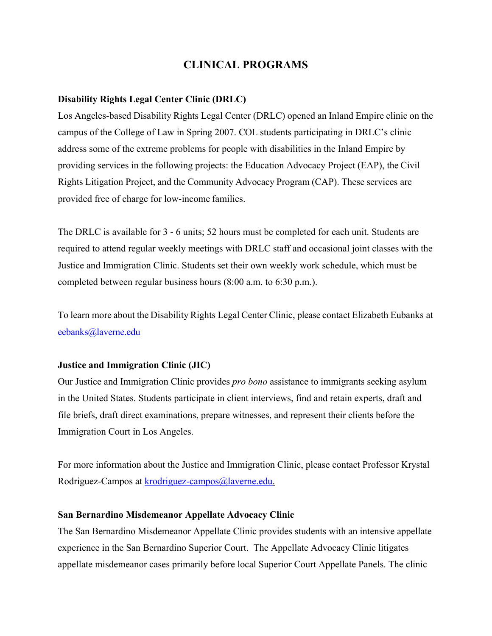# **CLINICAL PROGRAMS**

# **Disability Rights Legal Center Clinic (DRLC)**

Los Angeles-based Disability Rights Legal Center (DRLC) opened an Inland Empire clinic on the campus of the College of Law in Spring 2007. COL students participating in DRLC's clinic address some of the extreme problems for people with disabilities in the Inland Empire by providing services in the following projects: the Education Advocacy Project (EAP), the Civil Rights Litigation Project, and the Community Advocacy Program (CAP). These services are provided free of charge for low-income families.

The DRLC is available for 3 - 6 units; 52 hours must be completed for each unit. Students are required to attend regular weekly meetings with DRLC staff and occasional joint classes with the Justice and Immigration Clinic. Students set their own weekly work schedule, which must be completed between regular business hours (8:00 a.m. to 6:30 p.m.).

To learn more about the Disability Rights Legal Center Clinic, please contact Elizabeth Eubanks at [eebanks@laverne.edu](mailto:eebanks@laverne.edu)

# **Justice and Immigration Clinic (JIC)**

Our Justice and Immigration Clinic provides *pro bono* assistance to immigrants seeking asylum in the United States. Students participate in client interviews, find and retain experts, draft and file briefs, draft direct examinations, prepare witnesses, and represent their clients before the Immigration Court in Los Angeles.

For more information about the Justice and Immigration Clinic, please contact Professor Krystal Rodriguez-Campos at [krodriguez-campos@laverne.edu](mailto:krodriguez-campos@laverne.edu).

#### **San Bernardino Misdemeanor Appellate Advocacy Clinic**

The San Bernardino Misdemeanor Appellate Clinic provides students with an intensive appellate experience in the San Bernardino Superior Court. The Appellate Advocacy Clinic litigates appellate misdemeanor cases primarily before local Superior Court Appellate Panels. The clinic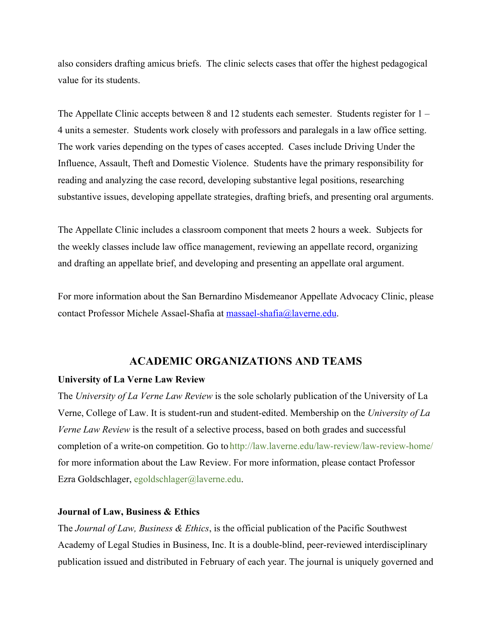also considers drafting amicus briefs. The clinic selects cases that offer the highest pedagogical value for its students.

The Appellate Clinic accepts between 8 and 12 students each semester. Students register for 1 – 4 units a semester. Students work closely with professors and paralegals in a law office setting. The work varies depending on the types of cases accepted. Cases include Driving Under the Influence, Assault, Theft and Domestic Violence. Students have the primary responsibility for reading and analyzing the case record, developing substantive legal positions, researching substantive issues, developing appellate strategies, drafting briefs, and presenting oral arguments.

The Appellate Clinic includes a classroom component that meets 2 hours a week. Subjects for the weekly classes include law office management, reviewing an appellate record, organizing and drafting an appellate brief, and developing and presenting an appellate oral argument.

For more information about the San Bernardino Misdemeanor Appellate Advocacy Clinic, please contact Professor Michele Assael-Shafia at [massael-shafia@laverne.edu.](mailto:massael-shafia@laverne.edu)

# **ACADEMIC ORGANIZATIONS AND TEAMS**

#### **University of La Verne Law Review**

The *University of La Verne Law Review* is the sole scholarly publication of the University of La Verne, College of Law. It is student-run and student-edited. Membership on the *University of La Verne Law Review* is the result of a selective process, based on both grades and successful completion of a write-on competition. Go to <http://law.laverne.edu/law-review/law-review-home/> for more information about the Law Review. For more information, please contact Professor Ezra Goldschlager, [egoldschlager@laverne.edu](mailto:egoldschlager@laverne.edu).

#### **Journal of Law, Business & Ethics**

The *Journal of Law, Business & Ethics*, is the official publication of the Pacific Southwest Academy of Legal Studies in Business, Inc. It is a double-blind, peer-reviewed interdisciplinary publication issued and distributed in February of each year. The journal is uniquely governed and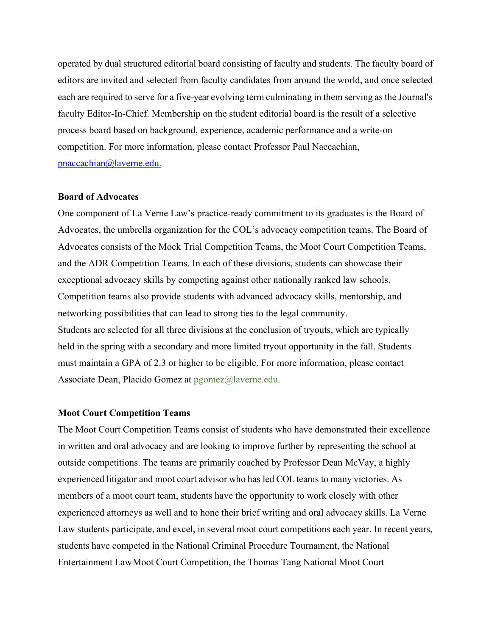operated by dual structured editorial board consisting of faculty and students. The faculty board of editors are invited and selected from faculty candidates from around the world, and once selected each are required to serve for a five-year evolving term culminating in them serving as the Journal's faculty Editor-In-Chief. Membership on the student editorial board is the result of a selective process board based on background, experience, academic performance and a write-on competition. For more information, please contact Professor Paul Naccachian, [pnaccachian@laverne.edu.](mailto:pnaccachian@laverne.edu.)

#### **Board of Advocates**

One component of La Verne Law's practice-ready commitment to its graduates is the Board of Advocates, the umbrella organization for the COL's advocacy competition teams. The Board of Advocates consists of the Mock Trial Competition Teams, the Moot Court Competition Teams, and the ADR Competition Teams. In each of these divisions, students can showcase their exceptional advocacy skills by competing against other nationally ranked law schools. Competition teams also provide students with advanced advocacy skills, mentorship, and networking possibilities that can lead to strong ties to the legal community. Students are selected for all three divisions at the conclusion of tryouts, which are typically held in the spring with a secondary and more limited tryout opportunity in the fall. Students must maintain a GPA of 2.3 or higher to be eligible. For more information, please contact Associate Dean, Placido Gomez at [pgomez@laverne.edu.](mailto:pgomez@laverne.edu)

#### **Moot Court Competition Teams**

The Moot Court Competition Teams consist of students who have demonstrated their excellence in written and oral advocacy and are looking to improve further by representing the school at outside competitions. The teams are primarily coached by Professor Dean McVay, a highly experienced litigator and moot court advisor who has led COL teams to many victories. As members of a moot court team, students have the opportunity to work closely with other experienced attorneys as well and to hone their brief writing and oral advocacy skills. La Verne Law students participate, and excel, in several moot court competitions each year. In recent years, students have competed in the National Criminal Procedure Tournament, the National Entertainment LawMoot Court Competition, the Thomas Tang National Moot Court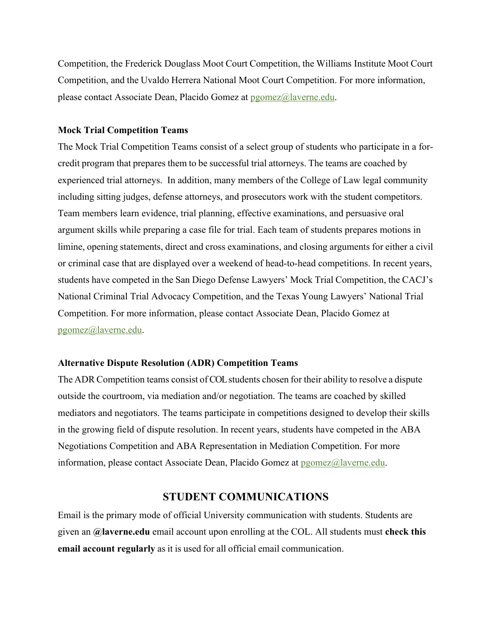Competition, the Frederick Douglass Moot Court Competition, the Williams Institute Moot Court Competition, and the Uvaldo Herrera National Moot Court Competition. For more information, please contact Associate Dean, Placido Gomez at [pgomez@laverne.edu](mailto:pgomez@laverne.edu).

#### **Mock Trial Competition Teams**

The Mock Trial Competition Teams consist of a select group of students who participate in a forcredit program that prepares them to be successful trial attorneys. The teams are coached by experienced trial attorneys. In addition, many members of the College of Law legal community including sitting judges, defense attorneys, and prosecutors work with the student competitors. Team members learn evidence, trial planning, effective examinations, and persuasive oral argument skills while preparing a case file for trial. Each team of students prepares motions in limine, opening statements, direct and cross examinations, and closing arguments for either a civil or criminal case that are displayed over a weekend of head-to-head competitions. In recent years, students have competed in the San Diego Defense Lawyers' Mock Trial Competition, the CACJ's National Criminal Trial Advocacy Competition, and the Texas Young Lawyers' National Trial Competition. For more information, please contact Associate Dean, Placido Gomez at [pgomez@laverne.edu](mailto:pgomez@laverne.edu).

#### **Alternative Dispute Resolution (ADR) Competition Teams**

The ADR Competition teams consist of COL students chosen for their ability to resolve a dispute outside the courtroom, via mediation and/or negotiation. The teams are coached by skilled mediators and negotiators. The teams participate in competitions designed to develop their skills in the growing field of dispute resolution. In recent years, students have competed in the ABA Negotiations Competition and ABA Representation in Mediation Competition. For more information, please contact Associate Dean, Placido Gomez at [pgomez@laverne.edu](mailto:pgomez@laverne.edu).

### **STUDENT COMMUNICATIONS**

Email is the primary mode of official University communication with students. Students are given an **@laverne.edu** email account upon enrolling at the COL. All students must **check this email account regularly** as it is used for all official email communication.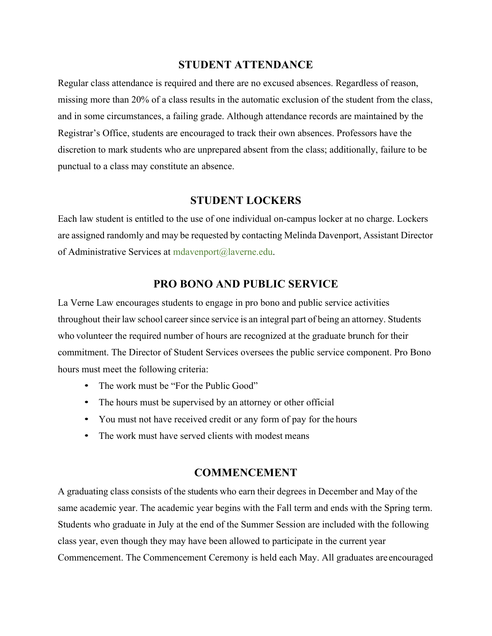# **STUDENT ATTENDANCE**

Regular class attendance is required and there are no excused absences. Regardless of reason, missing more than 20% of a class results in the automatic exclusion of the student from the class, and in some circumstances, a failing grade. Although attendance records are maintained by the Registrar's Office, students are encouraged to track their own absences. Professors have the discretion to mark students who are unprepared absent from the class; additionally, failure to be punctual to a class may constitute an absence.

# **STUDENT LOCKERS**

Each law student is entitled to the use of one individual on-campus locker at no charge. Lockers are assigned randomly and may be requested by contacting Melinda Davenport, Assistant Director of Administrative Services at [mdavenport@laverne.edu](mailto:mdavenport@laverne.edu).

# **PRO BONO AND PUBLIC SERVICE**

La Verne Law encourages students to engage in pro bono and public service activities throughout their law school career since service is an integral part of being an attorney. Students who volunteer the required number of hours are recognized at the graduate brunch for their commitment. The Director of Student Services oversees the public service component. Pro Bono hours must meet the following criteria:

- The work must be "For the Public Good"
- The hours must be supervised by an attorney or other official
- You must not have received credit or any form of pay for the hours
- The work must have served clients with modest means

# **COMMENCEMENT**

A graduating class consists of the students who earn their degrees in December and May of the same academic year. The academic year begins with the Fall term and ends with the Spring term. Students who graduate in July at the end of the Summer Session are included with the following class year, even though they may have been allowed to participate in the current year Commencement. The Commencement Ceremony is held each May. All graduates areencouraged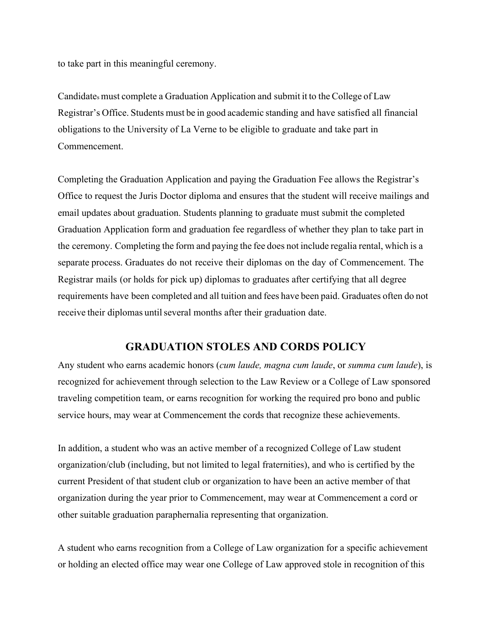to take part in this meaningful ceremony.

Candidates must complete a Graduation Application and submit it to the College of Law Registrar's Office. Students must be in good academic standing and have satisfied all financial obligations to the University of La Verne to be eligible to graduate and take part in Commencement.

Completing the Graduation Application and paying the Graduation Fee allows the Registrar's Office to request the Juris Doctor diploma and ensures that the student will receive mailings and email updates about graduation. Students planning to graduate must submit the completed Graduation Application form and graduation fee regardless of whether they plan to take part in the ceremony. Completing the form and paying the fee does not include regalia rental, which is a separate process. Graduates do not receive their diplomas on the day of Commencement. The Registrar mails (or holds for pick up) diplomas to graduates after certifying that all degree requirements have been completed and all tuition and fees have been paid. Graduates often do not receive their diplomas until several months after their graduation date.

# **GRADUATION STOLES AND CORDS POLICY**

Any student who earns academic honors (*cum laude, magna cum laude*, or *summa cum laude*), is recognized for achievement through selection to the Law Review or a College of Law sponsored traveling competition team, or earns recognition for working the required pro bono and public service hours, may wear at Commencement the cords that recognize these achievements.

In addition, a student who was an active member of a recognized College of Law student organization/club (including, but not limited to legal fraternities), and who is certified by the current President of that student club or organization to have been an active member of that organization during the year prior to Commencement, may wear at Commencement a cord or other suitable graduation paraphernalia representing that organization.

A student who earns recognition from a College of Law organization for a specific achievement or holding an elected office may wear one College of Law approved stole in recognition of this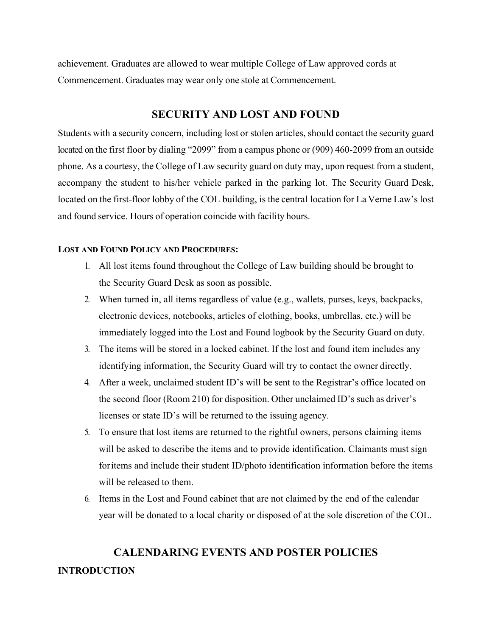achievement. Graduates are allowed to wear multiple College of Law approved cords at Commencement. Graduates may wear only one stole at Commencement.

# **SECURITY AND LOST AND FOUND**

Students with a security concern, including lost or stolen articles, should contact the security guard located on the first floor by dialing "2099" from a campus phone or (909) 460-2099 from an outside phone. As a courtesy, the College of Law security guard on duty may, upon request from a student, accompany the student to his/her vehicle parked in the parking lot. The Security Guard Desk, located on the first-floor lobby of the COL building, is the central location for La Verne Law's lost and found service. Hours of operation coincide with facility hours.

#### **LOST AND FOUND POLICY AND PROCEDURES:**

- 1. All lost items found throughout the College of Law building should be brought to the Security Guard Desk as soon as possible.
- 2. When turned in, all items regardless of value (e.g., wallets, purses, keys, backpacks, electronic devices, notebooks, articles of clothing, books, umbrellas, etc.) will be immediately logged into the Lost and Found logbook by the Security Guard on duty.
- 3. The items will be stored in a locked cabinet. If the lost and found item includes any identifying information, the Security Guard will try to contact the owner directly.
- 4. After a week, unclaimed student ID's will be sent to the Registrar's office located on the second floor (Room 210) for disposition. Other unclaimed ID's such as driver's licenses or state ID's will be returned to the issuing agency.
- 5. To ensure that lost items are returned to the rightful owners, persons claiming items will be asked to describe the items and to provide identification. Claimants must sign foritems and include their student ID/photo identification information before the items will be released to them.
- 6. Items in the Lost and Found cabinet that are not claimed by the end of the calendar year will be donated to a local charity or disposed of at the sole discretion of the COL.

# **CALENDARING EVENTS AND POSTER POLICIES**

#### **INTRODUCTION**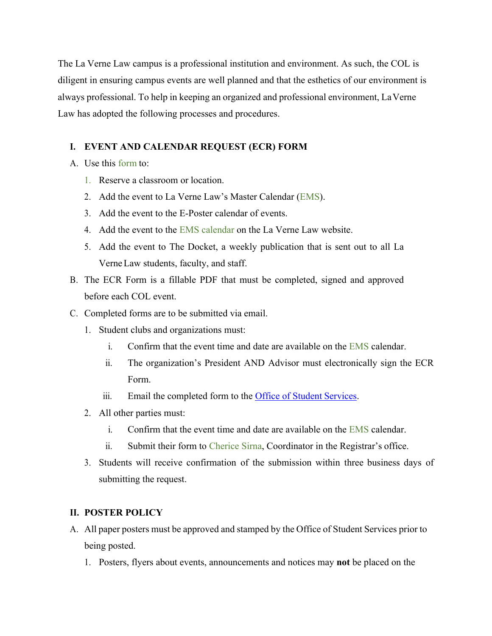The La Verne Law campus is a professional institution and environment. As such, the COL is diligent in ensuring campus events are well planned and that the esthetics of our environment is always professional. To help in keeping an organized and professional environment, LaVerne Law has adopted the following processes and procedures.

# **I. EVENT AND CALENDAR REQUEST (ECR) FORM**

- A. Use this [form](http://law.laverne.edu/wp-content/uploads/2016/09/Event-Calendar-Request.pdf?608141) to:
	- 1. Reserve a classroom or location.
	- 2. Add the event to La Verne Law's Master Calendar [\(EMS\)](http://calendar.laverne.edu/VirtualEMS/BrowseEvents.aspx).
	- 3. Add the event to the E-Poster calendar of events.
	- 4. Add the event to the [EMS calendar](https://calendar.laverne.edu/VirtualEMS/BrowseEvents.aspx) on the La Verne Law website.
	- 5. Add the event to The Docket, a weekly publication that is sent out to all La VerneLaw students, faculty, and staff.
- B. The ECR Form is a fillable PDF that must be completed, signed and approved before each COL event.
- C. Completed forms are to be submitted via email.
	- 1. Student clubs and organizations must:
		- i. Confirm that the event time and date are available on the  $ENS$  calendar.
		- ii. The organization's President AND Advisor must electronically sign the ECR Form.
		- iii. Email the completed form to the [Office of Student](mailto:lawstudentaffairs@laverne.edu) Services.
	- 2. All other parties must:
		- i. Confirm that the event time and date are available on the [EMS](http://calendar.laverne.edu/VirtualEMS/BrowseEvents.aspx) calendar.
		- ii. Submit their form to [Cherice Sirna,](mailto:csirna@laverne.edu) Coordinator in the Registrar's office.
	- 3. Students will receive confirmation of the submission within three business days of submitting the request.

# **II. POSTER POLICY**

- A. All paper posters must be approved and stamped by the Office of Student Services prior to being posted.
	- 1. Posters, flyers about events, announcements and notices may **not** be placed on the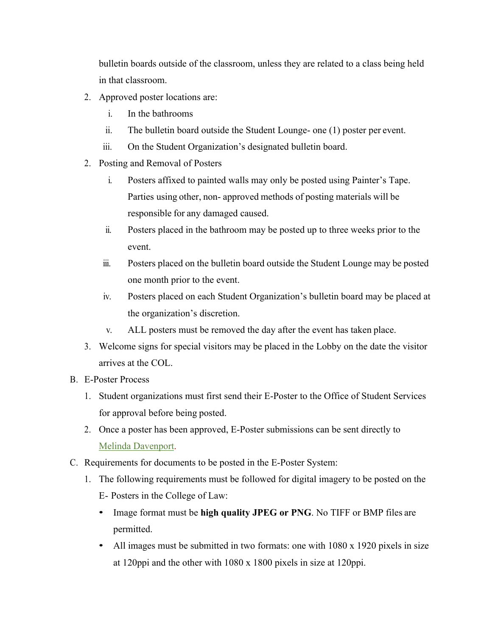bulletin boards outside of the classroom, unless they are related to a class being held in that classroom.

- 2. Approved poster locations are:
	- i. In the bathrooms
	- ii. The bulletin board outside the Student Lounge- one (1) poster per event.
	- iii. On the Student Organization's designated bulletin board.
- 2. Posting and Removal of Posters
	- i. Posters affixed to painted walls may only be posted using Painter's Tape. Parties using other, non- approved methods of posting materials will be responsible for any damaged caused.
	- ii. Posters placed in the bathroom may be posted up to three weeks prior to the event.
	- iii. Posters placed on the bulletin board outside the Student Lounge may be posted one month prior to the event.
	- iv. Posters placed on each Student Organization's bulletin board may be placed at the organization's discretion.
	- v. ALL posters must be removed the day after the event has taken place.
- 3. Welcome signs for special visitors may be placed in the Lobby on the date the visitor arrives at the COL.
- B. E-Poster Process
	- 1. Student organizations must first send their E-Poster to the Office of Student Services for approval before being posted.
	- 2. Once a poster has been approved, E-Poster submissions can be sent directly to [Melinda Davenport.](mailto:mailto:mdavenport@laverne.edu)
- C. Requirements for documents to be posted in the E-Poster System:
	- 1. The following requirements must be followed for digital imagery to be posted on the E- Posters in the College of Law:
		- Image format must be **high quality JPEG or PNG**. No TIFF or BMP files are permitted.
		- All images must be submitted in two formats: one with 1080 x 1920 pixels in size at 120ppi and the other with 1080 x 1800 pixels in size at 120ppi.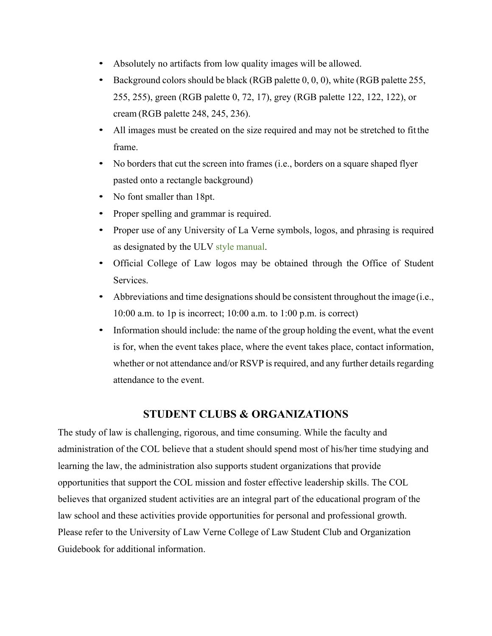- Absolutely no artifacts from low quality images will be allowed.
- Background colors should be black (RGB palette 0, 0, 0), white (RGB palette 255, 255, 255), green (RGB palette 0, 72, 17), grey (RGB palette 122, 122, 122), or cream (RGB palette 248, 245, 236).
- All images must be created on the size required and may not be stretched to fitthe frame.
- No borders that cut the screen into frames (i.e., borders on a square shaped flyer pasted onto a rectangle background)
- No font smaller than 18pt.
- Proper spelling and grammar is required.
- Proper use of any University of La Verne symbols, logos, and phrasing is required as designated by the ULV style [manual.](https://laverne.edu/identity/)
- Official College of Law logos may be obtained through the Office of Student Services.
- Abbreviations and time designations should be consistent throughout the image (i.e., 10:00 a.m. to 1p is incorrect; 10:00 a.m. to 1:00 p.m. is correct)
- Information should include: the name of the group holding the event, what the event is for, when the event takes place, where the event takes place, contact information, whether or not attendance and/or RSVP is required, and any further details regarding attendance to the event.

# **STUDENT CLUBS & ORGANIZATIONS**

The study of law is challenging, rigorous, and time consuming. While the faculty and administration of the COL believe that a student should spend most of his/her time studying and learning the law, the administration also supports student organizations that provide opportunities that support the COL mission and foster effective leadership skills. The COL believes that organized student activities are an integral part of the educational program of the law school and these activities provide opportunities for personal and professional growth. Please refer to the University of Law Verne College of Law Student Club and Organization Guidebook for additional information.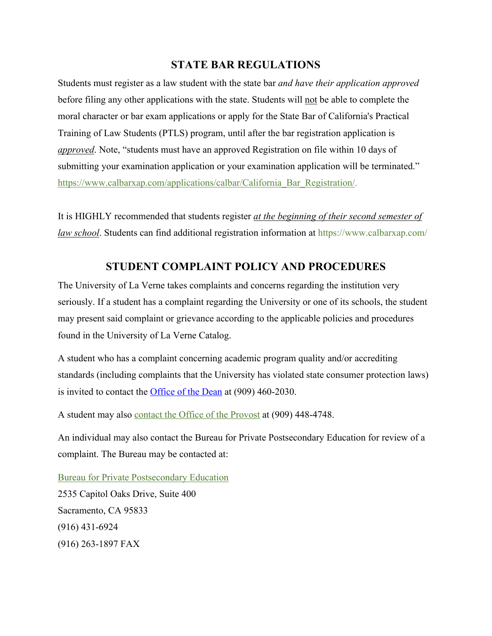# **STATE BAR REGULATIONS**

Students must register as a law student with the state bar *and have their application approved*  before filing any other applications with the state. Students will not be able to complete the moral character or bar exam applications or apply for the State Bar of California's Practical Training of Law Students (PTLS) program, until after the bar registration application is *approved*. Note, "students must have an approved Registration on file within 10 days of submitting your examination application or your examination application will be terminated." [https://www.calbarxap.com/applications/calbar/California\\_Bar\\_Registration/](https://www.calbarxap.com/applications/calbar/California_Bar_Registration/).

It is HIGHLY recommended that students register *at the beginning of their second semester of law school*. Students can find additional registration information at <https://www.calbarxap.com/>

# **STUDENT COMPLAINT POLICY AND PROCEDURES**

The University of La Verne takes complaints and concerns regarding the institution very seriously. If a student has a complaint regarding the University or one of its schools, the student may present said complaint or grievance according to the applicable policies and procedures found in the University of La Verne Catalog.

A student who has a complaint concerning academic program quality and/or accrediting standards (including complaints that the University has violated state consumer protection laws) is invited to contact the [Office of the Dean](mailto:@kmarshall@laverne.edu) at (909) 460-2030.

A student may also [contact the Office of the Provost](mailto:provost@laverne.edu) at (909) 448-4748.

An individual may also contact the Bureau for Private Postsecondary Education for review of a complaint. The Bureau may be contacted at:

[Bureau for Private Postsecondary Education](http://bppe.ca.gov/) 2535 Capitol Oaks Drive, Suite 400 Sacramento, CA 95833 (916) 431-6924 (916) 263-1897 FAX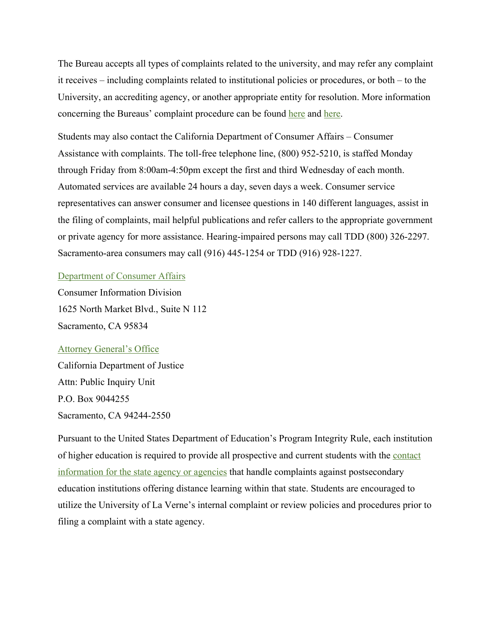The Bureau accepts all types of complaints related to the university, and may refer any complaint it receives – including complaints related to institutional policies or procedures, or both – to the University, an accrediting agency, or another appropriate entity for resolution. More information concerning the Bureaus' complaint procedure can be found [here](http://bppe.ca.gov/enforcement/complaint.shtml) and here.

Students may also contact the California Department of Consumer Affairs – Consumer Assistance with complaints. The toll-free telephone line, (800) 952-5210, is staffed Monday through Friday from 8:00am-4:50pm except the first and third Wednesday of each month. Automated services are available 24 hours a day, seven days a week. Consumer service representatives can answer consumer and licensee questions in 140 different languages, assist in the filing of complaints, mail helpful publications and refer callers to the appropriate government or private agency for more assistance. Hearing-impaired persons may call TDD (800) 326-2297. Sacramento-area consumers may call (916) 445-1254 or TDD (916) 928-1227.

#### [Department of Consumer Affairs](https://www.dca.ca.gov/)

Consumer Information Division 1625 North Market Blvd., Suite N 112 Sacramento, CA 95834

#### [Attorney General's Office](https://oag.ca.gov/sites/all/files/agweb/pdfs/contact/business_corpform.pdf)

California Department of Justice Attn: Public Inquiry Unit P.O. Box 9044255 Sacramento, CA 94244-2550

Pursuant to the United States Department of Education's Program Integrity Rule, each institution of higher education is required to provide all prospective and current students with the [contact](https://laverne.edu/online/state-authorization/consumer-protection-state-contacts/) [information for the state agency or agencies](https://laverne.edu/online/state-authorization/consumer-protection-state-contacts/) that handle complaints against postsecondary education institutions offering distance learning within that state. Students are encouraged to utilize the University of La Verne's internal complaint or review policies and procedures prior to filing a complaint with a state agency.